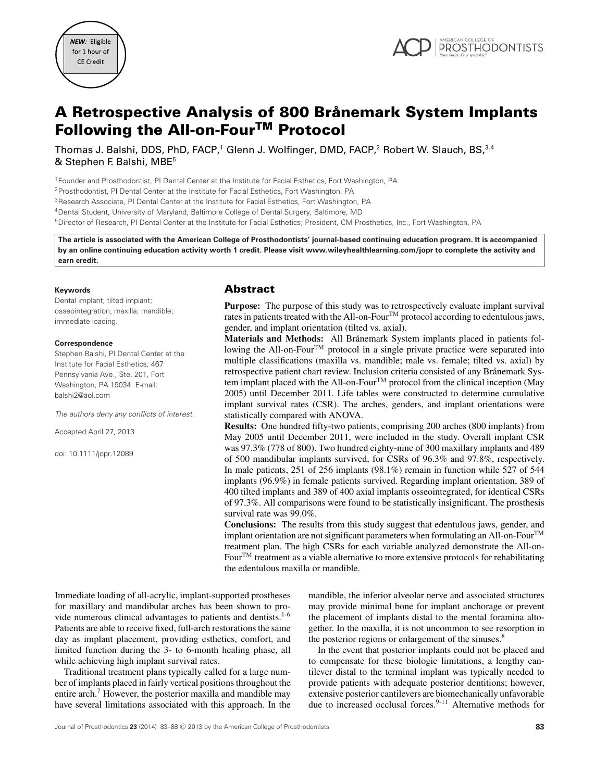



# **A Retrospective Analysis of 800 Branemark System Implants ˚ Following the All-on-FourTM Protocol**

Thomas J. Balshi, DDS, PhD, FACP,<sup>1</sup> Glenn J. Wolfinger, DMD, FACP,<sup>2</sup> Robert W. Slauch, BS,<sup>3,4</sup> & Stephen F. Balshi, MBE5

1Founder and Prosthodontist, PI Dental Center at the Institute for Facial Esthetics, Fort Washington, PA 2Prosthodontist, PI Dental Center at the Institute for Facial Esthetics, Fort Washington, PA 3Research Associate, PI Dental Center at the Institute for Facial Esthetics, Fort Washington, PA 4Dental Student, University of Maryland, Baltimore College of Dental Surgery, Baltimore, MD 5Director of Research, PI Dental Center at the Institute for Facial Esthetics; President, CM Prosthetics, Inc., Fort Washington, PA

**The article is associated with the American College of Prosthodontists' journal-based continuing education program. It is accompanied by an online continuing education activity worth 1 credit. Please visit www.wileyhealthlearning.com/jopr to complete the activity and earn credit.**

#### **Keywords**

Dental implant; tilted implant; osseointegration; maxilla; mandible; immediate loading.

#### **Correspondence**

Stephen Balshi, PI Dental Center at the Institute for Facial Esthetics, 467 Pennsylvania Ave., Ste. 201, Fort Washington, PA 19034. E-mail: balshi2@aol.com

*The authors deny any conflicts of interest.*

Accepted April 27, 2013

doi: 10.1111/jopr.12089

# **Abstract**

**Purpose:** The purpose of this study was to retrospectively evaluate implant survival rates in patients treated with the All-on-FourTM protocol according to edentulous jaws, gender, and implant orientation (tilted vs. axial).

Materials and Methods: All Brånemark System implants placed in patients following the All-on-Four<sup>™</sup> protocol in a single private practice were separated into multiple classifications (maxilla vs. mandible; male vs. female; tilted vs. axial) by retrospective patient chart review. Inclusion criteria consisted of any Brånemark System implant placed with the All-on-Four<sup>TM</sup> protocol from the clinical inception (May 2005) until December 2011. Life tables were constructed to determine cumulative implant survival rates (CSR). The arches, genders, and implant orientations were statistically compared with ANOVA.

**Results:** One hundred fifty-two patients, comprising 200 arches (800 implants) from May 2005 until December 2011, were included in the study. Overall implant CSR was 97.3% (778 of 800). Two hundred eighty-nine of 300 maxillary implants and 489 of 500 mandibular implants survived, for CSRs of 96.3% and 97.8%, respectively. In male patients, 251 of 256 implants (98.1%) remain in function while 527 of 544 implants (96.9%) in female patients survived. Regarding implant orientation, 389 of 400 tilted implants and 389 of 400 axial implants osseointegrated, for identical CSRs of 97.3%. All comparisons were found to be statistically insignificant. The prosthesis survival rate was 99.0%.

**Conclusions:** The results from this study suggest that edentulous jaws, gender, and implant orientation are not significant parameters when formulating an All-on-Four<sup>TM</sup> treatment plan. The high CSRs for each variable analyzed demonstrate the All-on-Four<sup>TM</sup> treatment as a viable alternative to more extensive protocols for rehabilitating the edentulous maxilla or mandible.

Immediate loading of all-acrylic, implant-supported prostheses for maxillary and mandibular arches has been shown to provide numerous clinical advantages to patients and dentists. $1-6$ Patients are able to receive fixed, full-arch restorations the same day as implant placement, providing esthetics, comfort, and limited function during the 3- to 6-month healing phase, all while achieving high implant survival rates.

Traditional treatment plans typically called for a large number of implants placed in fairly vertical positions throughout the entire arch.<sup>7</sup> However, the posterior maxilla and mandible may have several limitations associated with this approach. In the mandible, the inferior alveolar nerve and associated structures may provide minimal bone for implant anchorage or prevent the placement of implants distal to the mental foramina altogether. In the maxilla, it is not uncommon to see resorption in the posterior regions or enlargement of the sinuses.<sup>8</sup>

In the event that posterior implants could not be placed and to compensate for these biologic limitations, a lengthy cantilever distal to the terminal implant was typically needed to provide patients with adequate posterior dentitions; however, extensive posterior cantilevers are biomechanically unfavorable due to increased occlusal forces.<sup>9-11</sup> Alternative methods for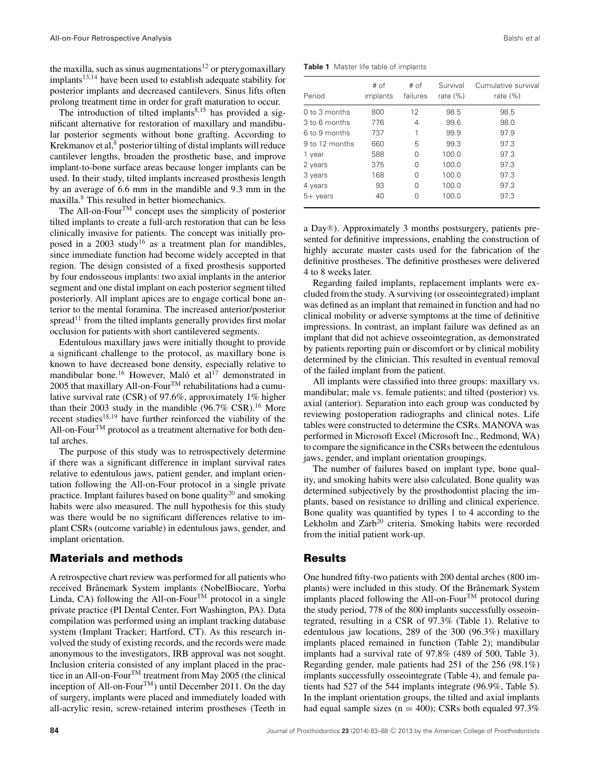the maxilla, such as sinus augmentations<sup>12</sup> or pterygomaxillary  $implants<sup>13,14</sup>$  have been used to establish adequate stability for posterior implants and decreased cantilevers. Sinus lifts often prolong treatment time in order for graft maturation to occur.

The introduction of tilted implants $8,15$  has provided a significant alternative for restoration of maxillary and mandibular posterior segments without bone grafting. According to Krekmanov et al, $\delta$  posterior tilting of distal implants will reduce cantilever lengths, broaden the prosthetic base, and improve implant-to-bone surface areas because longer implants can be used. In their study, tilted implants increased prosthesis length by an average of 6.6 mm in the mandible and 9.3 mm in the maxilla.<sup>8</sup> This resulted in better biomechanics.

The All-on-Four<sup>TM</sup> concept uses the simplicity of posterior tilted implants to create a full-arch restoration that can be less clinically invasive for patients. The concept was initially proposed in a 2003 study<sup>16</sup> as a treatment plan for mandibles, since immediate function had become widely accepted in that region. The design consisted of a fixed prosthesis supported by four endosseous implants: two axial implants in the anterior segment and one distal implant on each posterior segment tilted posteriorly. All implant apices are to engage cortical bone anterior to the mental foramina. The increased anterior/posterior spread<sup>11</sup> from the tilted implants generally provides first molar occlusion for patients with short cantilevered segments.

Edentulous maxillary jaws were initially thought to provide a significant challenge to the protocol, as maxillary bone is known to have decreased bone density, especially relative to mandibular bone.<sup>16</sup> However, Maló et al<sup>17</sup> demonstrated in 2005 that maxillary All-on-Four $^{TM}$  rehabilitations had a cumulative survival rate (CSR) of 97.6%, approximately 1% higher than their 2003 study in the mandible  $(96.7\% \text{ CSR})$ .<sup>16</sup> More recent studies<sup>18,19</sup> have further reinforced the viability of the All-on-Four<sup>TM</sup> protocol as a treatment alternative for both dental arches.

The purpose of this study was to retrospectively determine if there was a significant difference in implant survival rates relative to edentulous jaws, patient gender, and implant orientation following the All-on-Four protocol in a single private practice. Implant failures based on bone quality $^{20}$  and smoking habits were also measured. The null hypothesis for this study was there would be no significant differences relative to implant CSRs (outcome variable) in edentulous jaws, gender, and implant orientation.

# **Materials and methods**

A retrospective chart review was performed for all patients who received Brånemark System implants (NobelBiocare, Yorba Linda, CA) following the All-on-Four<sup>TM</sup> protocol in a single private practice (PI Dental Center, Fort Washington, PA). Data compilation was performed using an implant tracking database system (Implant Tracker; Hartford, CT). As this research involved the study of existing records, and the records were made anonymous to the investigators, IRB approval was not sought. Inclusion criteria consisted of any implant placed in the practice in an All-on-Four<sup>TM</sup> treatment from May 2005 (the clinical inception of All-on-Four<sup>TM</sup>) until December 2011. On the day of surgery, implants were placed and immediately loaded with all-acrylic resin, screw-retained interim prostheses (Teeth in

**Table 1** Master life table of implants

| Period          | # of<br>implants | # of<br>failures | Survival<br>rate $(\%)$ | Cumulative survival<br>rate $(\%)$ |
|-----------------|------------------|------------------|-------------------------|------------------------------------|
| $0$ to 3 months | 800              | 12               | 98.5                    | 98.5                               |
| 3 to 6 months   | 776              | 4                | 99.6                    | 98.0                               |
| 6 to 9 months   | 737              | 1                | 99.9                    | 97.9                               |
| 9 to 12 months  | 660              | 5                | 99.3                    | 97.3                               |
| 1 year          | 588              | O                | 100.0                   | 97.3                               |
| 2 years         | 375              | O                | 100.0                   | 97.3                               |
| 3 years         | 168              | O                | 100.0                   | 97.3                               |
| 4 years         | 93               | O                | 100.0                   | 97.3                               |
| $5+$ years      | 40               | $\bigcap$        | 100.0                   | 97.3                               |

a Day®). Approximately 3 months postsurgery, patients presented for definitive impressions, enabling the construction of highly accurate master casts used for the fabrication of the definitive prostheses. The definitive prostheses were delivered 4 to 8 weeks later.

Regarding failed implants, replacement implants were excluded from the study. A surviving (or osseointegrated) implant was defined as an implant that remained in function and had no clinical mobility or adverse symptoms at the time of definitive impressions. In contrast, an implant failure was defined as an implant that did not achieve osseointegration, as demonstrated by patients reporting pain or discomfort or by clinical mobility determined by the clinician. This resulted in eventual removal of the failed implant from the patient.

All implants were classified into three groups: maxillary vs. mandibular; male vs. female patients; and tilted (posterior) vs. axial (anterior). Separation into each group was conducted by reviewing postoperation radiographs and clinical notes. Life tables were constructed to determine the CSRs. MANOVA was performed in Microsoft Excel (Microsoft Inc., Redmond, WA) to compare the significance in the CSRs between the edentulous jaws, gender, and implant orientation groupings.

The number of failures based on implant type, bone quality, and smoking habits were also calculated. Bone quality was determined subjectively by the prosthodontist placing the implants, based on resistance to drilling and clinical experience. Bone quality was quantified by types 1 to 4 according to the Lekholm and  $Zarb^{20}$  criteria. Smoking habits were recorded from the initial patient work-up.

## **Results**

One hundred fifty-two patients with 200 dental arches (800 implants) were included in this study. Of the Brånemark System implants placed following the All-on-Four<sup>TM</sup> protocol during the study period, 778 of the 800 implants successfully osseointegrated, resulting in a CSR of 97.3% (Table 1). Relative to edentulous jaw locations, 289 of the 300 (96.3%) maxillary implants placed remained in function (Table 2); mandibular implants had a survival rate of 97.8% (489 of 500, Table 3). Regarding gender, male patients had 251 of the 256 (98.1%) implants successfully osseointegrate (Table 4), and female patients had 527 of the 544 implants integrate (96.9%, Table 5). In the implant orientation groups, the tilted and axial implants had equal sample sizes ( $n = 400$ ); CSRs both equaled 97.3%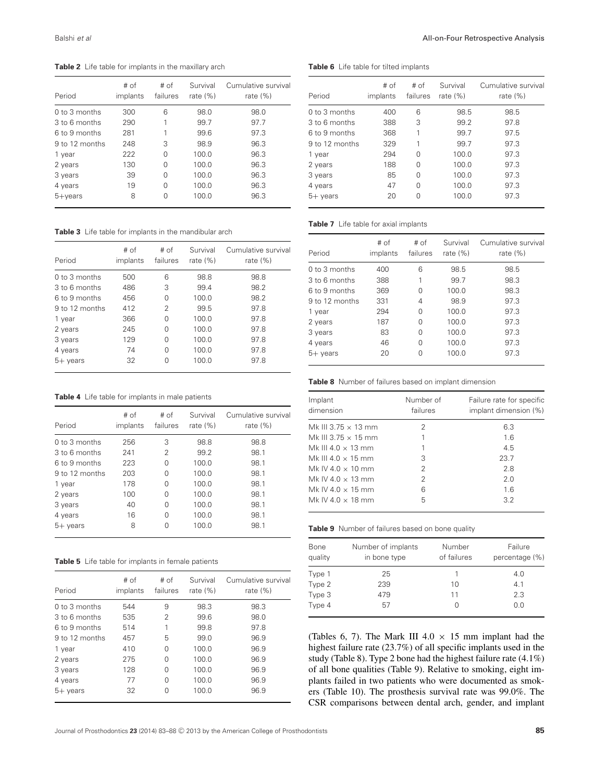**Table 2** Life table for implants in the maxillary arch

| Period          | # of<br>implants | # of<br>failures | Survival<br>rate $(\%)$ | Cumulative survival<br>rate $(\%)$ |
|-----------------|------------------|------------------|-------------------------|------------------------------------|
| $0$ to 3 months | 300              | 6                | 98.0                    | 98.0                               |
| 3 to 6 months   | 290              | 1                | 99.7                    | 97.7                               |
| 6 to 9 months   | 281              | 1                | 99.6                    | 97.3                               |
| 9 to 12 months  | 248              | 3                | 98.9                    | 96.3                               |
| 1 year          | 222              | O                | 100.0                   | 96.3                               |
| 2 years         | 130              | O                | 100.0                   | 96.3                               |
| 3 years         | 39               | 0                | 100.0                   | 96.3                               |
| 4 years         | 19               | O                | 100.0                   | 96.3                               |
| $5 + \vee$ ears | 8                | Ω                | 100.0                   | 96.3                               |

**Table 3** Life table for implants in the mandibular arch

| Period          | # of<br>implants | # of<br>failures | Survival<br>rate $(\%)$ | Cumulative survival<br>rate $(\%)$ |
|-----------------|------------------|------------------|-------------------------|------------------------------------|
| $0$ to 3 months | 500              | 6                | 98.8                    | 98.8                               |
| 3 to 6 months   | 486              | 3                | 99.4                    | 98.2                               |
| 6 to 9 months   | 456              | 0                | 100.0                   | 98.2                               |
| 9 to 12 months  | 412              | 2                | 99.5                    | 97.8                               |
| 1 year          | 366              | 0                | 100.0                   | 97.8                               |
| 2 years         | 245              | 0                | 100.0                   | 97.8                               |
| 3 years         | 129              | 0                | 100.0                   | 97.8                               |
| 4 years         | 74               | 0                | 100.0                   | 97.8                               |
| $5+$ years      | 32               | Ω                | 100.0                   | 97.8                               |

**Table 4** Life table for implants in male patients

| Period          | # of<br>implants | # of<br>failures | Survival<br>rate $(\%)$ | Cumulative survival<br>rate $(\%)$ |
|-----------------|------------------|------------------|-------------------------|------------------------------------|
| $0$ to 3 months | 256              | 3                | 98.8                    | 98.8                               |
| 3 to 6 months   | 241              | 2                | 99.2                    | 98.1                               |
| 6 to 9 months   | 223              | 0                | 100.0                   | 98.1                               |
| 9 to 12 months  | 203              | 0                | 100.0                   | 98.1                               |
| 1 year          | 178              | 0                | 100.0                   | 98.1                               |
| 2 years         | 100              | O                | 100.0                   | 98.1                               |
| 3 years         | 40               | O                | 100.0                   | 98.1                               |
| 4 years         | 16               | O                | 100.0                   | 98.1                               |
| $5+$ years      | 8                | Ω                | 100.0                   | 98.1                               |

**Table 5** Life table for implants in female patients

| Period          | # of<br>implants | # of<br>failures | Survival<br>rate $(% )$ | Cumulative survival<br>rate $(\%)$ |
|-----------------|------------------|------------------|-------------------------|------------------------------------|
| $0$ to 3 months | 544              | 9                | 98.3                    | 98.3                               |
| 3 to 6 months   | 535              | 2                | 99.6                    | 98.0                               |
| 6 to 9 months   | 514              | 1                | 99.8                    | 97.8                               |
| 9 to 12 months  | 457              | 5                | 99.0                    | 96.9                               |
| 1 year          | 410              | O                | 100.0                   | 96.9                               |
| 2 years         | 275              | 0                | 100.0                   | 96.9                               |
| 3 years         | 128              | 0                | 100.0                   | 96.9                               |
| 4 years         | 77               | O                | 100.0                   | 96.9                               |
| $5+$ years      | 32               |                  | 100.0                   | 96.9                               |

Balshi *et al* All-on-Four Retrospective Analysis

#### **Table 6** Life table for tilted implants

| Period         | # of<br>implants | # of<br>failures | Survival<br>rate $(\%)$ | Cumulative survival<br>rate $(\%)$ |
|----------------|------------------|------------------|-------------------------|------------------------------------|
| 0 to 3 months  | 400              | 6                | 98.5                    | 98.5                               |
| 3 to 6 months  | 388              | 3                | 99.2                    | 97.8                               |
| 6 to 9 months  | 368              | 1                | 99.7                    | 97.5                               |
| 9 to 12 months | 329              | 1                | 99.7                    | 97.3                               |
| 1 year         | 294              | O                | 100.0                   | 97.3                               |
| 2 years        | 188              | 0                | 100.0                   | 97.3                               |
| 3 years        | 85               | 0                | 100.0                   | 97.3                               |
| 4 years        | 47               | O                | 100.0                   | 97.3                               |
| $5+$ years     | 20               | N                | 100.0                   | 97.3                               |

#### **Table 7** Life table for axial implants

| Period          | # of<br>implants | # of<br>failures | Survival<br>rate $(\%)$ | Cumulative survival<br>rate $(\%)$ |
|-----------------|------------------|------------------|-------------------------|------------------------------------|
| $0$ to 3 months | 400              | 6                | 98.5                    | 98.5                               |
| 3 to 6 months   | 388              |                  | 99.7                    | 98.3                               |
| 6 to 9 months   | 369              | O                | 100.0                   | 98.3                               |
| 9 to 12 months  | 331              | 4                | 98.9                    | 97.3                               |
| 1 year          | 294              | 0                | 100.0                   | 97.3                               |
| 2 years         | 187              | 0                | 100.0                   | 97.3                               |
| 3 years         | 83               | 0                | 100.0                   | 97.3                               |
| 4 years         | 46               | 0                | 100.0                   | 97.3                               |
| $5+$ years      | 20               | Ω                | 100.0                   | 97.3                               |

**Table 8** Number of failures based on implant dimension

| Implant<br>dimension       | Number of<br>failures | Failure rate for specific<br>implant dimension (%) |
|----------------------------|-----------------------|----------------------------------------------------|
| Mk III 3.75 $\times$ 13 mm | 2                     | 6.3                                                |
| Mk III 3.75 $\times$ 15 mm |                       | 1.6                                                |
| Mk III 4 0 $\times$ 13 mm  |                       | 4.5                                                |
| Mk III 4.0 $\times$ 15 mm  | 3                     | 23.7                                               |
| Mk IV 4.0 $\times$ 10 mm   | 2                     | 2.8                                                |
| Mk IV 4.0 $\times$ 13 mm   | 2                     | 2.0                                                |
| Mk IV 4.0 $\times$ 15 mm   | 6                     | 1.6                                                |
| Mk IV 4.0 $\times$ 18 mm   | 5                     | 3.2                                                |
|                            |                       |                                                    |

**Table 9** Number of failures based on bone quality

| Bone<br>quality | Number of implants<br>in bone type | Number<br>of failures | Failure<br>percentage (%) |
|-----------------|------------------------------------|-----------------------|---------------------------|
| Type 1          | 25                                 |                       | 4.0                       |
| Type 2          | 239                                | 10                    | 4.1                       |
| Type 3          | 479                                | 11                    | 2.3                       |
| Type 4          | 57                                 |                       | 0.0                       |

(Tables 6, 7). The Mark III  $4.0 \times 15$  mm implant had the highest failure rate (23.7%) of all specific implants used in the study (Table 8). Type 2 bone had the highest failure rate (4.1%) of all bone qualities (Table 9). Relative to smoking, eight implants failed in two patients who were documented as smokers (Table 10). The prosthesis survival rate was 99.0%. The CSR comparisons between dental arch, gender, and implant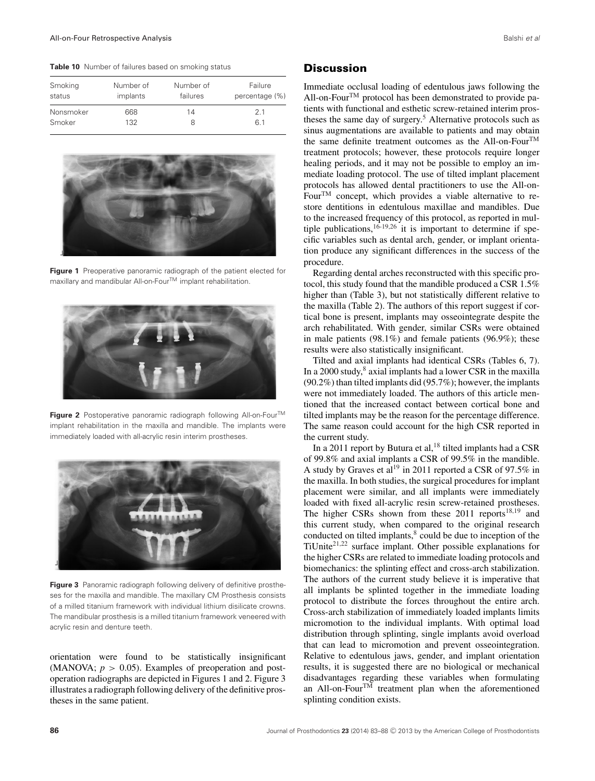**Table 10** Number of failures based on smoking status

| Smoking   | Number of | Number of | Failure        |
|-----------|-----------|-----------|----------------|
| status    | implants  | failures  | percentage (%) |
| Nonsmoker | 668       | 14        | 21             |
| Smoker    | 132       |           | 61             |



**Figure 1** Preoperative panoramic radiograph of the patient elected for maxillary and mandibular All-on-Four<sup>TM</sup> implant rehabilitation.



**Figure 2** Postoperative panoramic radiograph following All-on-FourTM implant rehabilitation in the maxilla and mandible. The implants were immediately loaded with all-acrylic resin interim prostheses.



Figure 3 Panoramic radiograph following delivery of definitive prostheses for the maxilla and mandible. The maxillary CM Prosthesis consists of a milled titanium framework with individual lithium disilicate crowns. The mandibular prosthesis is a milled titanium framework veneered with acrylic resin and denture teeth.

orientation were found to be statistically insignificant (MANOVA;  $p > 0.05$ ). Examples of preoperation and postoperation radiographs are depicted in Figures 1 and 2. Figure 3 illustrates a radiograph following delivery of the definitive prostheses in the same patient.

## **Discussion**

Immediate occlusal loading of edentulous jaws following the All-on-Four<sup>TM</sup> protocol has been demonstrated to provide patients with functional and esthetic screw-retained interim prostheses the same day of surgery.<sup>5</sup> Alternative protocols such as sinus augmentations are available to patients and may obtain the same definite treatment outcomes as the All-on-Four<sup>TM</sup> treatment protocols; however, these protocols require longer healing periods, and it may not be possible to employ an immediate loading protocol. The use of tilted implant placement protocols has allowed dental practitioners to use the All-on-FourTM concept, which provides a viable alternative to restore dentitions in edentulous maxillae and mandibles. Due to the increased frequency of this protocol, as reported in multiple publications,  $16-19,26$  it is important to determine if specific variables such as dental arch, gender, or implant orientation produce any significant differences in the success of the procedure.

Regarding dental arches reconstructed with this specific protocol, this study found that the mandible produced a CSR 1.5% higher than (Table 3), but not statistically different relative to the maxilla (Table 2). The authors of this report suggest if cortical bone is present, implants may osseointegrate despite the arch rehabilitated. With gender, similar CSRs were obtained in male patients (98.1%) and female patients (96.9%); these results were also statistically insignificant.

Tilted and axial implants had identical CSRs (Tables 6, 7). In a 2000 study, $8$  axial implants had a lower CSR in the maxilla (90.2%) than tilted implants did (95.7%); however, the implants were not immediately loaded. The authors of this article mentioned that the increased contact between cortical bone and tilted implants may be the reason for the percentage difference. The same reason could account for the high CSR reported in the current study.

In a 2011 report by Butura et al,  $18$  tilted implants had a CSR of 99.8% and axial implants a CSR of 99.5% in the mandible. A study by Graves et al<sup>19</sup> in 2011 reported a CSR of 97.5% in the maxilla. In both studies, the surgical procedures for implant placement were similar, and all implants were immediately loaded with fixed all-acrylic resin screw-retained prostheses. The higher CSRs shown from these  $2011$  reports<sup>18,19</sup> and this current study, when compared to the original research conducted on tilted implants,<sup>8</sup> could be due to inception of the TiUnite $2^{1,22}$  surface implant. Other possible explanations for the higher CSRs are related to immediate loading protocols and biomechanics: the splinting effect and cross-arch stabilization. The authors of the current study believe it is imperative that all implants be splinted together in the immediate loading protocol to distribute the forces throughout the entire arch. Cross-arch stabilization of immediately loaded implants limits micromotion to the individual implants. With optimal load distribution through splinting, single implants avoid overload that can lead to micromotion and prevent osseointegration. Relative to edentulous jaws, gender, and implant orientation results, it is suggested there are no biological or mechanical disadvantages regarding these variables when formulating an All-on-Four<sup>TM</sup> treatment plan when the aforementioned splinting condition exists.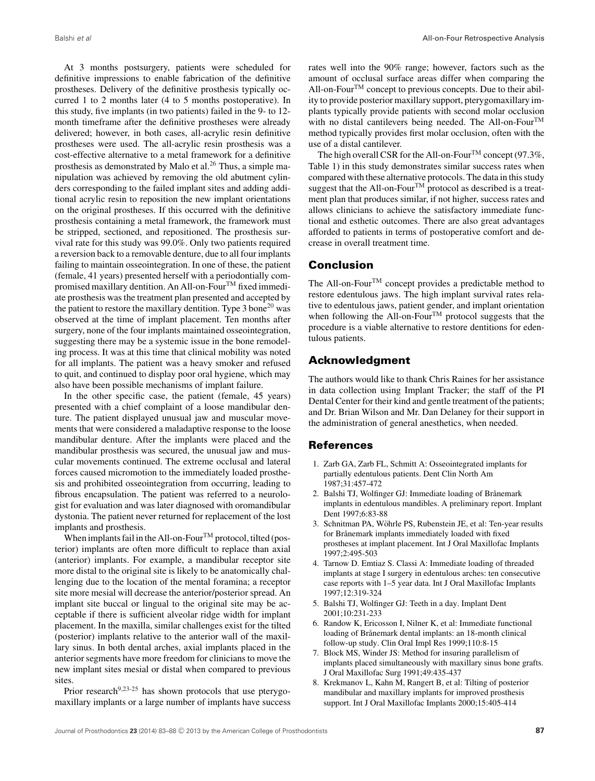At 3 months postsurgery, patients were scheduled for definitive impressions to enable fabrication of the definitive prostheses. Delivery of the definitive prosthesis typically occurred 1 to 2 months later (4 to 5 months postoperative). In this study, five implants (in two patients) failed in the 9- to 12 month timeframe after the definitive prostheses were already delivered; however, in both cases, all-acrylic resin definitive prostheses were used. The all-acrylic resin prosthesis was a cost-effective alternative to a metal framework for a definitive prosthesis as demonstrated by Malo et al.<sup>26</sup> Thus, a simple manipulation was achieved by removing the old abutment cylinders corresponding to the failed implant sites and adding additional acrylic resin to reposition the new implant orientations on the original prostheses. If this occurred with the definitive prosthesis containing a metal framework, the framework must be stripped, sectioned, and repositioned. The prosthesis survival rate for this study was 99.0%. Only two patients required a reversion back to a removable denture, due to all four implants failing to maintain osseointegration. In one of these, the patient (female, 41 years) presented herself with a periodontially compromised maxillary dentition. An All-on-Four<sup>TM</sup> fixed immediate prosthesis was the treatment plan presented and accepted by the patient to restore the maxillary dentition. Type  $3 \text{ bone}^{20}$  was observed at the time of implant placement. Ten months after surgery, none of the four implants maintained osseointegration, suggesting there may be a systemic issue in the bone remodeling process. It was at this time that clinical mobility was noted for all implants. The patient was a heavy smoker and refused to quit, and continued to display poor oral hygiene, which may also have been possible mechanisms of implant failure.

In the other specific case, the patient (female, 45 years) presented with a chief complaint of a loose mandibular denture. The patient displayed unusual jaw and muscular movements that were considered a maladaptive response to the loose mandibular denture. After the implants were placed and the mandibular prosthesis was secured, the unusual jaw and muscular movements continued. The extreme occlusal and lateral forces caused micromotion to the immediately loaded prosthesis and prohibited osseointegration from occurring, leading to fibrous encapsulation. The patient was referred to a neurologist for evaluation and was later diagnosed with oromandibular dystonia. The patient never returned for replacement of the lost implants and prosthesis.

When implants fail in the All-on-Four<sup>TM</sup> protocol, tilted (posterior) implants are often more difficult to replace than axial (anterior) implants. For example, a mandibular receptor site more distal to the original site is likely to be anatomically challenging due to the location of the mental foramina; a receptor site more mesial will decrease the anterior/posterior spread. An implant site buccal or lingual to the original site may be acceptable if there is sufficient alveolar ridge width for implant placement. In the maxilla, similar challenges exist for the tilted (posterior) implants relative to the anterior wall of the maxillary sinus. In both dental arches, axial implants placed in the anterior segments have more freedom for clinicians to move the new implant sites mesial or distal when compared to previous sites.

Prior research $9,23-25$  has shown protocols that use pterygomaxillary implants or a large number of implants have success rates well into the 90% range; however, factors such as the amount of occlusal surface areas differ when comparing the All-on-Four<sup>TM</sup> concept to previous concepts. Due to their ability to provide posterior maxillary support, pterygomaxillary implants typically provide patients with second molar occlusion with no distal cantilevers being needed. The All-on-Four<sup>TM</sup> method typically provides first molar occlusion, often with the use of a distal cantilever.

The high overall CSR for the All-on-Four<sup>TM</sup> concept (97.3%, Table 1) in this study demonstrates similar success rates when compared with these alternative protocols. The data in this study suggest that the All-on-Four<sup>TM</sup> protocol as described is a treatment plan that produces similar, if not higher, success rates and allows clinicians to achieve the satisfactory immediate functional and esthetic outcomes. There are also great advantages afforded to patients in terms of postoperative comfort and decrease in overall treatment time.

# **Conclusion**

The All-on-Four<sup>TM</sup> concept provides a predictable method to restore edentulous jaws. The high implant survival rates relative to edentulous jaws, patient gender, and implant orientation when following the All-on-Four<sup>TM</sup> protocol suggests that the procedure is a viable alternative to restore dentitions for edentulous patients.

# **Acknowledgment**

The authors would like to thank Chris Raines for her assistance in data collection using Implant Tracker; the staff of the PI Dental Center for their kind and gentle treatment of the patients; and Dr. Brian Wilson and Mr. Dan Delaney for their support in the administration of general anesthetics, when needed.

# **References**

- 1. Zarb GA, Zarb FL, Schmitt A: Osseointegrated implants for partially edentulous patients. Dent Clin North Am 1987;31:457-472
- 2. Balshi TJ, Wolfinger GJ: Immediate loading of Brånemark implants in edentulous mandibles. A preliminary report. Implant Dent 1997;6:83-88
- 3. Schnitman PA, Wöhrle PS, Rubenstein JE, et al: Ten-year results for Brånemark implants immediately loaded with fixed prostheses at implant placement. Int J Oral Maxillofac Implants 1997;2:495-503
- 4. Tarnow D. Emtiaz S. Classi A: Immediate loading of threaded implants at stage I surgery in edentulous arches: ten consecutive case reports with 1–5 year data. Int J Oral Maxillofac Implants 1997;12:319-324
- 5. Balshi TJ, Wolfinger GJ: Teeth in a day. Implant Dent 2001;10:231-233
- 6. Randow K, Ericosson I, Nilner K, et al: Immediate functional loading of Brånemark dental implants: an 18-month clinical follow-up study. Clin Oral Impl Res 1999;110:8-15
- 7. Block MS, Winder JS: Method for insuring parallelism of implants placed simultaneously with maxillary sinus bone grafts. J Oral Maxillofac Surg 1991;49:435-437
- 8. Krekmanov L, Kahn M, Rangert B, et al: Tilting of posterior mandibular and maxillary implants for improved prosthesis support. Int J Oral Maxillofac Implants 2000;15:405-414